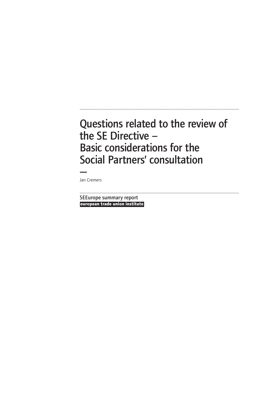.....................................................................................................................................

— Jan Cremers

**european trade union institute** ..................................................................................................................................... SEEurope summary report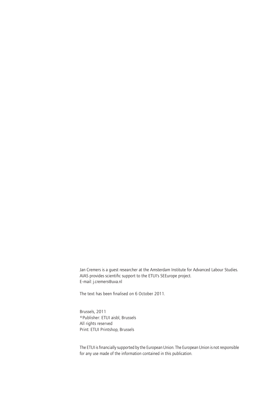Jan Cremers is a guest researcher at the Amsterdam Institute for Advanced Labour Studies. AIAS provides scientific support to the ETUI's SEEurope project. E-mail: j.cremers@uva.nl

The text has been finalised on 6 October 2011.

Brussels, 2011 ©Publisher: ETUI aisbl, Brussels All rights reserved Print: ETUI Printshop, Brussels

The ETUI is financially supported by the European Union. The European Union is not responsible for any use made of the information contained in this publication.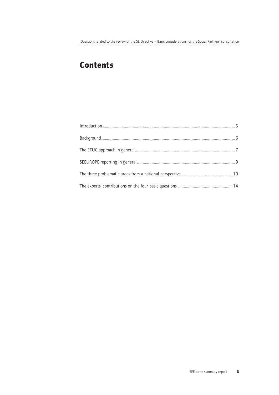## **Contents**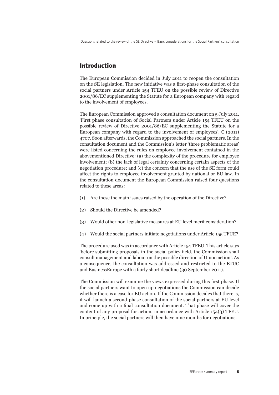## **Introduction**

The European Commission decided in July 2011 to reopen the consultation on the SE legislation. The new initiative was a first-phase consultation of the social partners under Article 154 TFEU on the possible review of Directive 2001/86/EC supplementing the Statute for a European company with regard to the involvement of employees.

The European Commission approved a consultation document on 5 July 2011, 'First phase consultation of Social Partners under Article 154 TFEU on the possible review of Directive 2001/86/EC supplementing the Statute for a European company with regard to the involvement of employees', C (2011) 4707. Soon afterwards, the Commission approached the social partners. In the consultation document and the Commission's letter 'three problematic areas' were listed concerning the rules on employee involvement contained in the abovementioned Directive: (a) the complexity of the procedure for employee involvement; (b) the lack of legal certainty concerning certain aspects of the negotiation procedure; and (c) the concern that the use of the SE form could affect the rights to employee involvement granted by national or EU law. In the consultation document the European Commission raised four questions related to these areas:

- (1) Are these the main issues raised by the operation of the Directive?
- (2) Should the Directive be amended?
- (3) Would other non-legislative measures at EU level merit consideration?
- (4) Would the social partners initiate negotiations under Article 155 TFUE?

The procedure used was in accordance with Article 154 TFEU. This article says 'before submitting proposals in the social policy field, the Commission shall consult management and labour on the possible direction of Union action'. As a consequence, the consultation was addressed and restricted to the ETUC and BusinessEurope with a fairly short deadline (30 September 2011).

The Commission will examine the views expressed during this first phase. If the social partners want to open up negotiations the Commission can decide whether there is a case for EU action. If the Commission decides that there is, it will launch a second-phase consultation of the social partners at EU level and come up with a final consultation document. That phase will cover the content of any proposal for action, in accordance with Article 154(3) TFEU. In principle, the social partners will then have nine months for negotiations.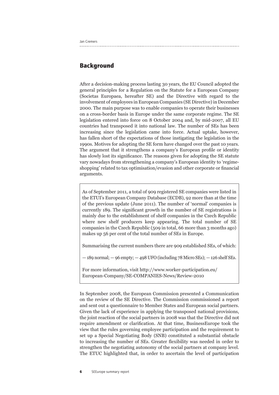## **Background**

After a decision-making process lasting 30 years, the EU Council adopted the general principles for a Regulation on the Statute for a European Company (Societas Europaea, hereafter SE) and the Directive with regard to the involvement of employees in European Companies (SE Directive) in December 2000. The main purpose was to enable companies to operate their businesses on a cross-border basis in Europe under the same corporate regime. The SE legislation entered into force on 8 October 2004 and, by mid-2007, all EU countries had transposed it into national law. The number of SEs has been increasing since the legislation came into force. Actual uptake, however, has fallen short of the expectations of those instigating the legislation in the 1990s. Motives for adopting the SE form have changed over the past 10 years. The argument that it strengthens a company's European profile or identity has slowly lost its significance. The reasons given for adopting the SE statute vary nowadays from strengthening a company's European identity to 'regimeshopping' related to tax optimisation/evasion and other corporate or financial arguments.

As of September 2011, a total of 909 registered SE companies were listed in the ETUI's European Company Database (ECDB), 92 more than at the time of the previous update (June 2011). The number of 'normal' companies is currently 189. The significant growth in the number of SE registrations is mainly due to the establishment of shelf companies in the Czech Republic where new shelf producers keep appearing. The total number of SE companies in the Czech Republic (509 in total, 66 more than 3 months ago) makes up 56 per cent of the total number of SEs in Europe.

Summarising the current numbers there are 909 established SEs, of which:

 $-189$  normal;  $-96$  empty;  $-498$  UFO (including 78 Micro SEs);  $-126$  shelf SEs.

For more information, visit http://www.worker-participation.eu/ European-Company/SE-COMPANIES-News/Review-2010

In September 2008, the European Commission presented a Communication on the review of the SE Directive. The Commission commissioned a report and sent out a questionnaire to Member States and European social partners. Given the lack of experience in applying the transposed national provisions, the joint reaction of the social partners in 2008 was that the Directive did not require amendment or clarification. At that time, BusinessEurope took the view that the rules governing employee participation and the requirement to set up a Special Negotiating Body (SNB) constituted a substantial obstacle to increasing the number of SEs. Greater flexibility was needed in order to strengthen the negotiating autonomy of the social partners at company level. The ETUC highlighted that, in order to ascertain the level of participation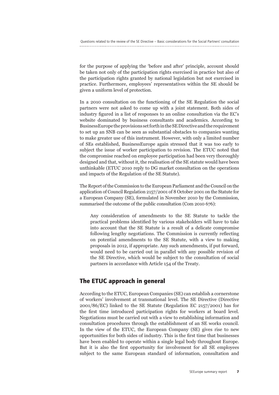for the purpose of applying the 'before and after' principle, account should be taken not only of the participation rights exercised in practice but also of the participation rights granted by national legislation but not exercised in practice. Furthermore, employees' representatives within the SE should be given a uniform level of protection.

In a 2010 consultation on the functioning of the SE Regulation the social partners were not asked to come up with a joint statement. Both sides of industry figured in a list of responses to an online consultation via the EC's website dominated by business consultants and academics. According to BusinessEurope the provisions set forth in the SE Directive and the requirement to set up an SNB can be seen as substantial obstacles to companies wanting to make greater use of this instrument. However, with only a limited number of SEs established, BusinessEurope again stressed that it was too early to subject the issue of worker participation to revision. The ETUC noted that the compromise reached on employee participation had been very thoroughly designed and that, without it, the realisation of the SE statute would have been unthinkable (ETUC 2010 reply to DG market consultation on the operations and impacts of the Regulation of the SE Statute).

The Report of the Commission to the European Parliament and the Council on the application of Council Regulation 2157/2001 of 8 October 2001 on the Statute for a European Company (SE), formulated in November 2010 by the Commission, summarised the outcome of the public consultation (Com 2010 676):

Any consideration of amendments to the SE Statute to tackle the practical problems identified by various stakeholders will have to take into account that the SE Statute is a result of a delicate compromise following lengthy negotiations. The Commission is currently reflecting on potential amendments to the SE Statute, with a view to making proposals in 2012, if appropriate. Any such amendments, if put forward, would need to be carried out in parallel with any possible revision of the SE Directive, which would be subject to the consultation of social partners in accordance with Article 154 of the Treaty.

## **The ETUC approach in general**

According to the ETUC, European Companies (SE) can establish a cornerstone of workers' involvement at transnational level. The SE Directive (Directive 2001/86/EC) linked to the SE Statute (Regulation EC 2157/2001) has for the first time introduced participation rights for workers at board level. Negotiations must be carried out with a view to establishing information and consultation procedures through the establishment of an SE works council. In the view of the ETUC, the European Company (SE) gives rise to new opportunities for both sides of industry. This is the first time that businesses have been enabled to operate within a single legal body throughout Europe. But it is also the first opportunity for involvement for all SE employees subject to the same European standard of information, consultation and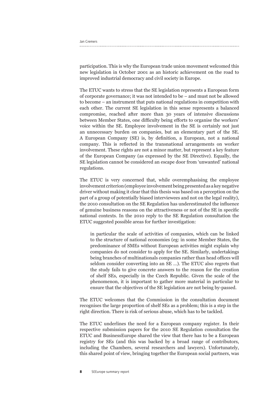Jan Cremers

participation. This is why the European trade union movement welcomed this new legislation in October 2001 as an historic achievement on the road to improved industrial democracy and civil society in Europe.

The ETUC wants to stress that the SE legislation represents a European form of corporate governance; it was not intended to be – and must not be allowed to become – an instrument that puts national regulations in competition with each other. The current SE legislation in this sense represents a balanced compromise, reached after more than 30 years of intensive discussions between Member States, one difficulty being efforts to organise the workers' voice within the SE. Employee involvement in the SE is certainly not just an unnecessary burden on companies, but an elementary part of the SE. A European Company (SE) is, by definition, a European, not a national company. This is reflected in the transnational arrangements on worker involvement. These rights are not a minor matter, but represent a key feature of the European Company (as expressed by the SE Directive). Equally, the SE legislation cannot be considered an escape door from 'unwanted' national regulations.

The ETUC is very concerned that, while overemphasising the employee involvement criterion (employee involvement being presented as a key negative driver without making it clear that this thesis was based on a perception on the part of a group of potentially biased interviewees and not on the legal reality), the 2010 consultation on the SE Regulation has underestimated the influence of genuine business reasons on the attractiveness or not of the SE in specific national contexts. In the 2010 reply to the SE Regulation consultation the ETUC suggested possible areas for further investigation:

in particular the scale of activities of companies, which can be linked to the structure of national economies (eg: in some Member States, the predominance of SMEs without European activities might explain why companies do not consider to apply for the SE. Similarly, undertakings being branches of multinationals companies rather than head offices will seldom consider converting into an SE …). The ETUC also regrets that the study fails to give concrete answers to the reason for the creation of shelf SEs, especially in the Czech Republic. Given the scale of the phenomenon, it is important to gather more material in particular to ensure that the objectives of the SE legislation are not being by-passed.

The ETUC welcomes that the Commission in the consultation document recognises the large proportion of shelf SEs as a problem; this is a step in the right direction. There is risk of serious abuse, which has to be tackled.

The ETUC underlines the need for a European company register. In their respective submission papers for the 2010 SE Regulation consultation the ETUC and BusinessEurope shared the view that there has to be a European registry for SEs (and this was backed by a broad range of contributors, including the Chambers, several researchers and lawyers). Unfortunately, this shared point of view, bringing together the European social partners, was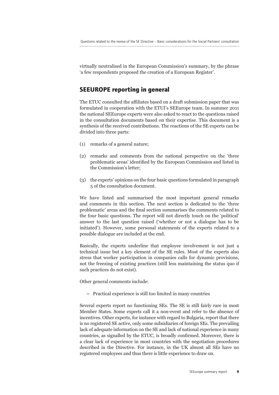virtually neutralised in the European Commission's summary, by the phrase 'a few respondents proposed the creation of a European Register'.

### **SEEUROPE reporting in general**

The ETUC consulted the affiliates based on a draft submission paper that was formulated in cooperation with the ETUI's SEEurope team. In summer 2011 the national SEEurope experts were also asked to react to the questions raised in the consultation documents based on their expertise. This document is a synthesis of the received contributions. The reactions of the SE experts can be divided into three parts:

- (1) remarks of a general nature;
- (2) remarks and comments from the national perspective on the 'three problematic areas' identified by the European Commission and listed in the Commission's letter;
- (3) the experts' opinions on the four basic questions formulated in paragraph 5 of the consultation document.

We have listed and summarised the most important general remarks and comments in this section. The next section is dedicated to the 'three problematic' areas and the final section summarises the comments related to the four basic questions. The report will not directly touch on the 'political' answer to the last question raised ('whether or not a dialogue has to be initiated'). However, some personal statements of the experts related to a possible dialogue are included at the end.

Basically, the experts underline that employee involvement is not just a technical issue but a key element of the SE rules. Most of the experts also stress that worker participation in companies calls for dynamic provisions, not the freezing of existing practices (still less maintaining the status quo if such practices do not exist).

Other general comments include:

**–** Practical experience is still too limited in many countries

Several experts report no functioning SEs. The SE is still fairly rare in most Member States. Some experts call it a non-event and refer to the absence of incentives. Other experts, for instance with regard to Bulgaria, report that there is no registered SE active, only some subsidiaries of foreign SEs. The prevailing lack of adequate information on the SE and lack of national experience in many countries, as signalled by the ETUC, is broadly confirmed. Moreover, there is a clear lack of experience in most countries with the negotiation procedures described in the Directive. For instance, in the UK almost all SEs have no registered employees and thus there is little experience to draw on.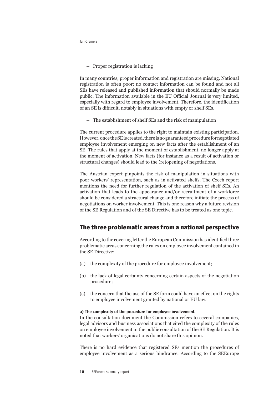**–** Proper registration is lacking

In many countries, proper information and registration are missing. National registration is often poor; no contact information can be found and not all SEs have released and published information that should normally be made public. The information available in the EU Official Journal is very limited, especially with regard to employee involvement. Therefore, the identification of an SE is difficult, notably in situations with empty or shelf SEs.

**–** The establishment of shelf SEs and the risk of manipulation

The current procedure applies to the right to maintain existing participation. However, once the SE is created, there is no guaranteed procedure for negotiated employee involvement emerging on new facts after the establishment of an SE. The rules that apply at the moment of establishment, no longer apply at the moment of activation. New facts (for instance as a result of activation or structural changes) should lead to the (re)opening of negotiations.

The Austrian expert pinpoints the risk of manipulation in situations with poor workers' representation, such as in activated shelfs. The Czech report mentions the need for further regulation of the activation of shelf SEs. An activation that leads to the appearance and/or recruitment of a workforce should be considered a structural change and therefore initiate the process of negotiations on worker involvement. This is one reason why a future revision of the SE Regulation and of the SE Directive has to be treated as one topic.

## **The three problematic areas from a national perspective**

According to the covering letter the European Commission has identified three problematic areas concerning the rules on employee involvement contained in the SE Directive:

- (a) the complexity of the procedure for employee involvement;
- (b) the lack of legal certainty concerning certain aspects of the negotiation procedure;
- (c) the concern that the use of the SE form could have an effect on the rights to employee involvement granted by national or EU law.

#### a) The complexity of the procedure for employee involvement

In the consultation document the Commission refers to several companies, legal advisors and business associations that cited the complexity of the rules on employee involvement in the public consultation of the SE Regulation. It is noted that workers' organisations do not share this opinion.

There is no hard evidence that registered SEs mention the procedures of employee involvement as a serious hindrance. According to the SEEurope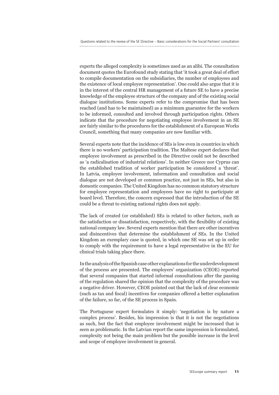experts the alleged complexity is sometimes used as an alibi. The consultation document quotes the Eurofound study stating that 'it took a great deal of effort to compile documentation on the subsidiaries, the number of employees and the existence of local employee representation'. One could also argue that it is in the interest of the central HR management of a future SE to have a precise knowledge of the employee structure of the company and of the existing social dialogue institutions. Some experts refer to the compromise that has been reached (and has to be maintained) as a minimum guarantee for the workers to be informed, consulted and involved through participation rights. Others indicate that the procedure for negotiating employee involvement in an SE are fairly similar to the procedures for the establishment of a European Works Council, something that many companies are now familiar with.

Several experts note that the incidence of SEs is low even in countries in which there is no workers' participation tradition. The Maltese expert declares that employee involvement as prescribed in the Directive could not be described as 'a radicalisation of industrial relations'. In neither Greece nor Cyprus can the established tradition of worker participation be considered a 'threat'. In Latvia, employee involvement, information and consultation and social dialogue are not developed or common practice, not just in SEs, but also in domestic companies. The United Kingdom has no common statutory structure for employee representation and employees have no right to participate at board level. Therefore, the concern expressed that the introduction of the SE could be a threat to existing national rights does not apply.

The lack of created (or established) SEs is related to other factors, such as the satisfaction or dissatisfaction, respectively, with the flexibility of existing national company law. Several experts mention that there are other incentives and disincentives that determine the establishment of SEs. In the United Kingdom an exemplary case is quoted, in which one SE was set up in order to comply with the requirement to have a legal representative in the EU for clinical trials taking place there.

In the analysis of the Spanish case other explanations for the underdevelopment of the process are presented. The employers' organization (CEOE) reported that several companies that started informal consultations after the passing of the regulation shared the opinion that the complexity of the procedure was a negative driver. However, CEOE pointed out that the lack of clear economic (such as tax and fiscal) incentives for companies offered a better explanation of the failure, so far, of the SE process in Spain.

The Portuguese expert formulates it simply: 'negotiation is by nature a complex process'. Besides, his impression is that it is not the negotiations as such, but the fact that employee involvement might be increased that is seen as problematic. In the Latvian report the same impression is formulated, complexity not being the main problem but the possible increase in the level and scope of employee involvement in general.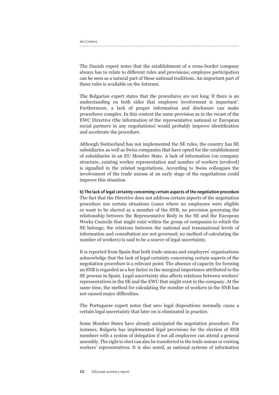The Danish expert notes that the establishment of a cross-border company always has to relate to different rules and provisions; employee participation can be seen as a natural part of these national traditions. An important part of these rules is available on the Internet.

The Bulgarian expert states that the procedures are not long 'if there is an understanding on both sides that employee involvement is important'. Furthermore, a lack of proper information and disclosure can make procedures complex. In this context the same provision as in the recast of the EWC Directive (the information of the representative national or European social partners in any negotiations) would probably improve identification and accelerate the procedure.

Although Switzerland has not implemented the SE rules, the country has SE subsidiaries as well as Swiss companies that have opted for the establishment of subsidiaries in an EU Member State. A lack of information (on company structure, existing worker representation and number of workers involved) is signalled in the related negotiations. According to Swiss colleagues the involvement of the trade unions at an early stage of the negotiations could improve this situation.

#### b) The lack of legal certainty concerning certain aspects of the negotiation procedure

The fact that the Directive does not address certain aspects of the negotiation procedure nor certain situations (cases where no employees were eligible or want to be elected as a member of the SNB; no provision governing the relationship between the Representative Body in the SE and the European Works Councils that might exist within the group of companies to which the SE belongs; the relations between the national and transnational levels of information and consultation are not governed; no method of calculating the number of workers) is said to be a source of legal uncertainty.

It is reported from Spain that both trade unions and employers' organisations acknowledge that the lack of legal certainty concerning certain aspects of the negotiation procedure is a relevant point. The absence of capacity for forming an SNB is regarded as a key factor in the marginal importance attributed to the SE process in Spain. Legal uncertainty also affects relations between workers' representatives in the SE and the EWC that might exist in the company. At the same time, the method for calculating the number of workers in the SNB has not caused major difficulties.

The Portuguese expert notes that new legal dispositions normally cause a certain legal uncertainty that later on is eliminated in practice.

Some Member States have already anticipated the negotiation procedure. For instance, Bulgaria has implemented legal provisions for the election of SNB members with a system of delegation if not all employees can attend a general assembly. The right to elect can also be transferred to the trade unions or existing workers' representatives. It is also noted, as national systems of information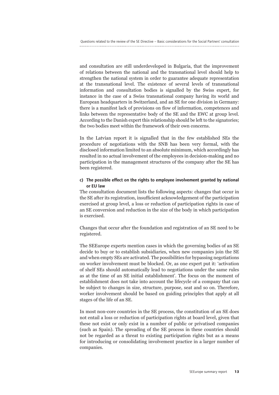and consultation are still underdeveloped in Bulgaria, that the improvement of relations between the national and the transnational level should help to strengthen the national system in order to guarantee adequate representation at the transnational level. The existence of several levels of transnational information and consultation bodies is signalled by the Swiss expert, for instance in the case of a Swiss transnational company having its world and European headquarters in Switzerland, and an SE for one division in Germany: there is a manifest lack of provisions on flow of information, competences and links between the representative body of the SE and the EWC at group level. According to the Danish expert this relationship should be left to the signatories; the two bodies meet within the framework of their own concerns.

In the Latvian report it is signalled that in the few established SEs the procedure of negotiations with the SNB has been very formal, with the disclosed information limited to an absolute minimum, which accordingly has resulted in no actual involvement of the employees in decision-making and no participation in the management structures of the company after the SE has been registered.

#### c) The possible effect on the rights to employee involvement granted by national or EU law

The consultation document lists the following aspects: changes that occur in the SE after its registration, insufficient acknowledgement of the participation exercised at group level, a loss or reduction of participation rights in case of an SE conversion and reduction in the size of the body in which participation is exercised.

Changes that occur after the foundation and registration of an SE need to be registered.

The SEEurope experts mention cases in which the governing bodies of an SE decide to buy or to establish subsidiaries, when new companies join the SE and when empty SEs are activated. The possibilities for bypassing negotiations on worker involvement must be blocked. Or, as one expert put it: 'activation of shelf SEs should automatically lead to negotiations under the same rules as at the time of an SE initial establishment'. The focus on the moment of establishment does not take into account the lifecycle of a company that can be subject to changes in size, structure, purpose, seat and so on. Therefore, worker involvement should be based on guiding principles that apply at all stages of the life of an SE.

In most non-core countries in the SE process, the constitution of an SE does not entail a loss or reduction of participation rights at board level, given that these not exist or only exist in a number of public or privatised companies (such as Spain). The spreading of the SE process in these countries should not be regarded as a threat to existing participation rights but as a means for introducing or consolidating involvement practice in a larger number of companies.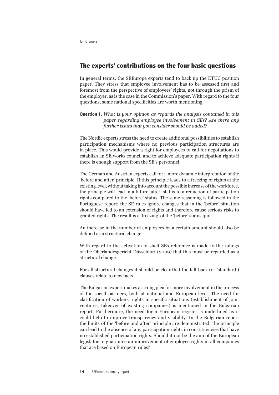```
Jan Cremers
```
## **The experts' contributions on the four basic questions**

In general terms, the SEEurope experts tend to back up the ETUC position paper. They stress that employee involvement has to be assessed first and foremost from the perspective of employees' rights, not through the prism of the employer, as is the case in the Commission's paper. With regard to the four questions, some national specificities are worth mentioning.

Question 1. *What is your opinion as regards the analysis contained in this paper regarding employee involvement in SEs? Are there any further issues that you consider should be added?*

The Nordic experts stress the need to create additional possibilities to establish participation mechanisms where no previous participation structures are in place. This would provide a right for employees to call for negotiations to establish an SE works council and to achieve adequate participation rights if there is enough support from the SE's personnel.

The German and Austrian experts call for a more dynamic interpretation of the 'before and after' principle. If this principle leads to a freezing of rights at the existing level, without taking into account the possible increase of the workforce, the principle will lead in a future 'after' status to a reduction of participation rights compared to the 'before' status. The same reasoning is followed in the Portuguese report: the SE rules ignore changes that in the 'before' situation should have led to an extension of rights and therefore cause serious risks to granted rights. The result is a 'freezing' of the 'before' status quo.

An increase in the number of employees by a certain amount should also be defined as a structural change.

With regard to the activation of shelf SEs reference is made to the rulings of the Oberlandesgericht Düsseldorf (2009) that this must be regarded as a structural change.

For all structural changes it should be clear that the fall-back (or 'standard') clauses relate to new facts.

The Bulgarian expert makes a strong plea for more involvement in the process of the social partners, both at national and European level. The need for clarification of workers' rights in specific situations (establishment of joint ventures, takeover of existing companies) is mentioned in the Bulgarian report. Furthermore, the need for a European register is underlined as it could help to improve transparency and visibility. In the Bulgarian report the limits of the 'before and after' principle are demonstrated: the principle can lead to the absence of any participation rights in constituencies that have no established participation rights. Should it not be the aim of the European legislator to guarantee an improvement of employee rights in all companies that are based on European rules?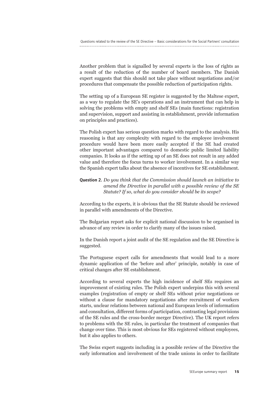Another problem that is signalled by several experts is the loss of rights as a result of the reduction of the number of board members. The Danish expert suggests that this should not take place without negotiations and/or procedures that compensate the possible reduction of participation rights.

The setting up of a European SE register is suggested by the Maltese expert, as a way to regulate the SE's operations and an instrument that can help in solving the problems with empty and shelf SEs (main functions: registration and supervision, support and assisting in establishment, provide information on principles and practices).

The Polish expert has serious question marks with regard to the analysis. His reasoning is that any complexity with regard to the employee involvement procedure would have been more easily accepted if the SE had created other important advantages compared to domestic public limited liability companies. It looks as if the setting up of an SE does not result in any added value and therefore the focus turns to worker involvement. In a similar way the Spanish expert talks about the absence of incentives for SE establishment.

#### Question 2. *Do you think that the Commission should launch an initiative to amend the Directive in parallel with a possible review of the SE Statute? If so, what do you consider should be its scope?*

According to the experts, it is obvious that the SE Statute should be reviewed in parallel with amendments of the Directive.

The Bulgarian report asks for explicit national discussion to be organised in advance of any review in order to clarify many of the issues raised.

In the Danish report a joint audit of the SE regulation and the SE Directive is suggested.

The Portuguese expert calls for amendments that would lead to a more dynamic application of the 'before and after' principle, notably in case of critical changes after SE establishment.

According to several experts the high incidence of shelf SEs requires an improvement of existing rules. The Polish expert underpins this with several examples (registration of empty or shelf SEs without prior negotiations or without a clause for mandatory negotiations after recruitment of workers starts, unclear relations between national and European levels of information and consultation, different forms of participation, contrasting legal provisions of the SE rules and the cross-border merger Directive). The UK report refers to problems with the SE rules, in particular the treatment of companies that change over time. This is most obvious for SEs registered without employees, but it also applies to others.

The Swiss expert suggests including in a possible review of the Directive the early information and involvement of the trade unions in order to facilitate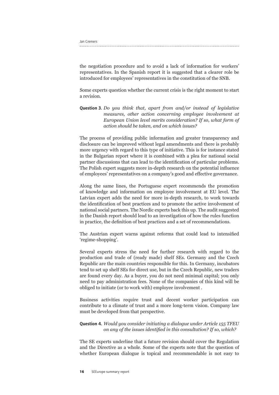Jan Cremers

the negotiation procedure and to avoid a lack of information for workers' representatives. In the Spanish report it is suggested that a clearer role be introduced for employees' representatives in the constitution of the SNB.

Some experts question whether the current crisis is the right moment to start a revision.

Question 3. *Do you think that, apart from and/or instead of legislative measures, other action concerning employee involvement at European Union level merits consideration? If so, what form of action should be taken, and on which issues?*

The process of providing public information and greater transparency and disclosure can be improved without legal amendments and there is probably more urgency with regard to this type of initiative. This is for instance stated in the Bulgarian report where it is combined with a plea for national social partner discussions that can lead to the identification of particular problems. The Polish expert suggests more in-depth research on the potential influence of employees' representatives on a company's good and effective governance.

Along the same lines, the Portuguese expert recommends the promotion of knowledge and information on employee involvement at EU level. The Latvian expert adds the need for more in-depth research, to work towards the identification of best practices and to promote the active involvement of national social partners. The Nordic experts back this up. The audit suggested in the Danish report should lead to an investigation of how the rules function in practice, the definition of best practices and a set of recommendations.

The Austrian expert warns against reforms that could lead to intensified 'regime-shopping'.

Several experts stress the need for further research with regard to the production and trade of (ready made) shelf SEs. Germany and the Czech Republic are the main countries responsible for this. In Germany, incubators tend to set up shelf SEs for direct use, but in the Czech Republic, new traders are found every day. As a buyer, you do not need minimal capital; you only need to pay administration fees. None of the companies of this kind will be obliged to initiate (or to work with) employee involvement .

Business activities require trust and decent worker participation can contribute to a climate of trust and a more long-term vision. Company law must be developed from that perspective.

#### Question 4. *Would you consider initiating a dialogue under Article 155 TFEU on any of the issues identified in this consultation? If so, which?*

The SE experts underline that a future revision should cover the Regulation and the Directive as a whole. Some of the experts note that the question of whether European dialogue is topical and recommendable is not easy to